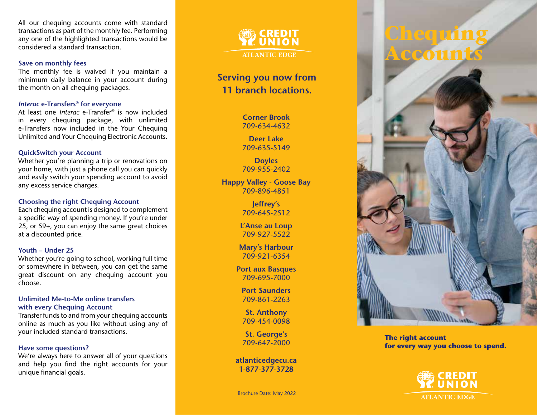All our chequing accounts come with standard transactions as part of the monthly fee. Performing any one of the highlighted transactions would be considered a standard transaction.

#### **Save on monthly fees**

The monthly fee is waived if you maintain a minimum daily balance in your account during the month on all chequing packages.

### *Interac* **e-Transfers ® for everyone**

At least one *Interac* e-Transfer ® is now included in every chequing package, with unlimited e-Transfers now included in the Your Chequing Unlimited and Your Chequing Electronic Accounts.

## **QuickSwitch your Account**

Whether you're planning a trip or renovations on your home, with just a phone call you can quickly and easily switch your spending account to avoid any excess service charges.

### **Choosing the right Chequing Account**

Each chequing account is designed to complement a specific way of spending money. If you're under 25, or 59+, you can enjoy the same great choices at a discounted price.

### **Youth – Under 25**

Whether you're going to school, working full time or somewhere in between, you can get the same great discount on any chequing account you choose.

#### **Unlimited Me-to-Me online transfers with every Chequing Account**

Transfer funds to and from your chequing accounts online as much as you like without using any of your included standard transactions.

### **Have some questions?**

We're always here to answer all of your questions and help you find the right accounts for your unique financial goals.

**CREDIT EUNION ATLANTIC EDGE** 

# **Serving you now from 11 branch locations.**

**Corner Brook** 709-634-4632

**Deer Lake** 709-635-5149

**Doyles** 709-955-2402

**Happy Valley - Goose Bay** 709-896-4851

> **Jeffrey's** 709-645-2512

**L'Anse au Loup** 709-927-5522

**Mary's Harbour** 709-921-6354

**Port aux Basques** 709-695-7000

**Port Saunders** 709-861-2263

**St. Anthony** 709-454-0098

**St. George's** 709-647-2000

**atlanticedgecu.ca 1-877-377-3728**

Brochure Date: May 2022



**The right account for every way you choose to spend.**